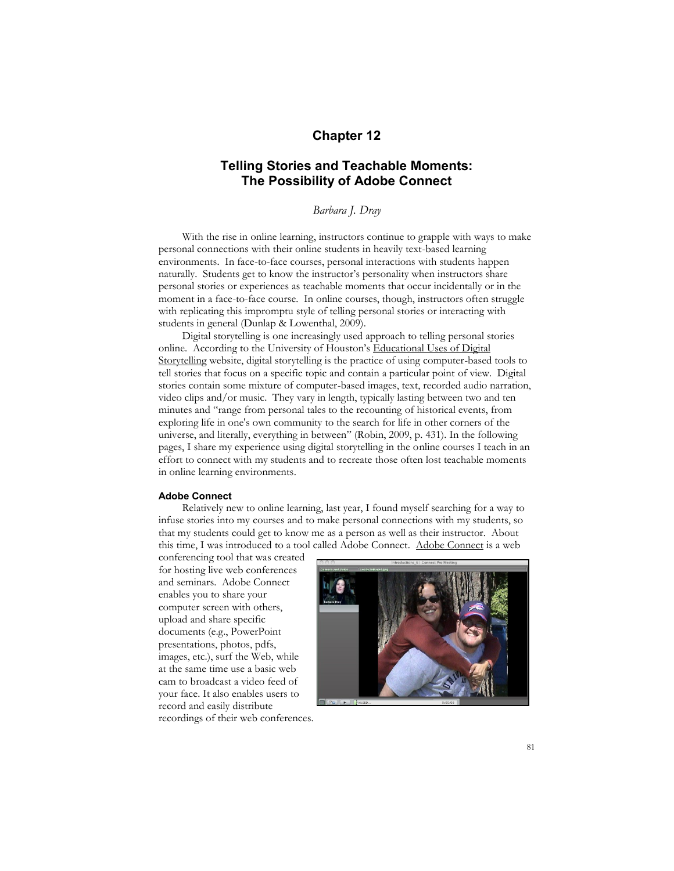# **Chapter 12**

# **Telling Stories and Teachable Moments: The Possibility of Adobe Connect**

*Barbara J. Dray*

With the rise in online learning, instructors continue to grapple with ways to make personal connections with their online students in heavily text-based learning environments. In face-to-face courses, personal interactions with students happen naturally. Students get to know the instructor's personality when instructors share personal stories or experiences as teachable moments that occur incidentally or in the moment in a face-to-face course. In online courses, though, instructors often struggle with replicating this impromptu style of telling personal stories or interacting with students in general (Dunlap & Lowenthal, 2009).

Digital storytelling is one increasingly used approach to telling personal stories online. According to the University of Houston's Educational Uses of Digital Storytelling website, digital storytelling is the practice of using computer-based tools to tell stories that focus on a specific topic and contain a particular point of view. Digital stories contain some mixture of computer-based images, text, recorded audio narration, video clips and/or music. They vary in length, typically lasting between two and ten minutes and "range from personal tales to the recounting of historical events, from exploring life in one's own community to the search for life in other corners of the universe, and literally, everything in between" (Robin, 2009, p. 431). In the following pages, I share my experience using digital storytelling in the online courses I teach in an effort to connect with my students and to recreate those often lost teachable moments in online learning environments.

### **Adobe Connect**

Relatively new to online learning, last year, I found myself searching for a way to infuse stories into my courses and to make personal connections with my students, so that my students could get to know me as a person as well as their instructor. About this time, I was introduced to a tool called Adobe Connect. Adobe Connect is a web

conferencing tool that was created for hosting live web conferences and seminars. Adobe Connect enables you to share your computer screen with others, upload and share specific documents (e.g., PowerPoint presentations, photos, pdfs, images, etc.), surf the Web, while at the same time use a basic web cam to broadcast a video feed of your face. It also enables users to record and easily distribute recordings of their web conferences.

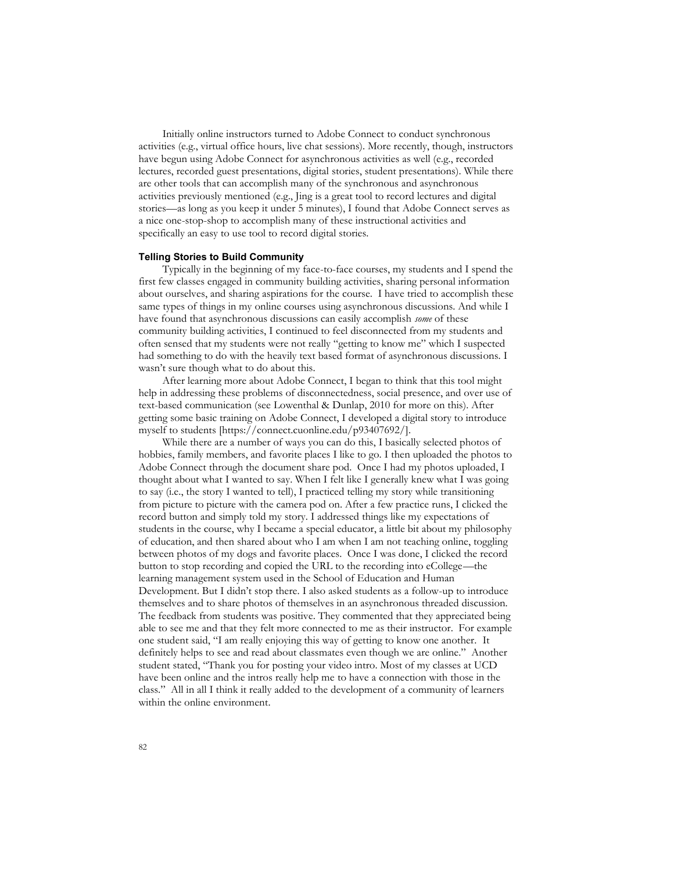Initially online instructors turned to Adobe Connect to conduct synchronous activities (e.g., virtual office hours, live chat sessions). More recently, though, instructors have begun using Adobe Connect for asynchronous activities as well (e.g., recorded lectures, recorded guest presentations, digital stories, student presentations). While there are other tools that can accomplish many of the synchronous and asynchronous activities previously mentioned (e.g., Jing is a great tool to record lectures and digital stories—as long as you keep it under 5 minutes), I found that Adobe Connect serves as a nice one-stop-shop to accomplish many of these instructional activities and specifically an easy to use tool to record digital stories.

#### **Telling Stories to Build Community**

Typically in the beginning of my face-to-face courses, my students and I spend the first few classes engaged in community building activities, sharing personal information about ourselves, and sharing aspirations for the course. I have tried to accomplish these same types of things in my online courses using asynchronous discussions. And while I have found that asynchronous discussions can easily accomplish *some* of these community building activities, I continued to feel disconnected from my students and often sensed that my students were not really "getting to know me" which I suspected had something to do with the heavily text based format of asynchronous discussions. I wasn't sure though what to do about this.

After learning more about Adobe Connect, I began to think that this tool might help in addressing these problems of disconnectedness, social presence, and over use of text-based communication (see Lowenthal & Dunlap, 2010 for more on this). After getting some basic training on Adobe Connect, I developed a digital story to introduce myself to students [https://connect.cuonline.edu/p93407692/].

While there are a number of ways you can do this, I basically selected photos of hobbies, family members, and favorite places I like to go. I then uploaded the photos to Adobe Connect through the document share pod. Once I had my photos uploaded, I thought about what I wanted to say. When I felt like I generally knew what I was going to say (i.e., the story I wanted to tell), I practiced telling my story while transitioning from picture to picture with the camera pod on. After a few practice runs, I clicked the record button and simply told my story. I addressed things like my expectations of students in the course, why I became a special educator, a little bit about my philosophy of education, and then shared about who I am when I am not teaching online, toggling between photos of my dogs and favorite places. Once I was done, I clicked the record button to stop recording and copied the URL to the recording into eCollege—the learning management system used in the School of Education and Human Development. But I didn't stop there. I also asked students as a follow-up to introduce themselves and to share photos of themselves in an asynchronous threaded discussion. The feedback from students was positive. They commented that they appreciated being able to see me and that they felt more connected to me as their instructor. For example one student said, "I am really enjoying this way of getting to know one another. It definitely helps to see and read about classmates even though we are online." Another student stated, "Thank you for posting your video intro. Most of my classes at UCD have been online and the intros really help me to have a connection with those in the class." All in all I think it really added to the development of a community of learners within the online environment.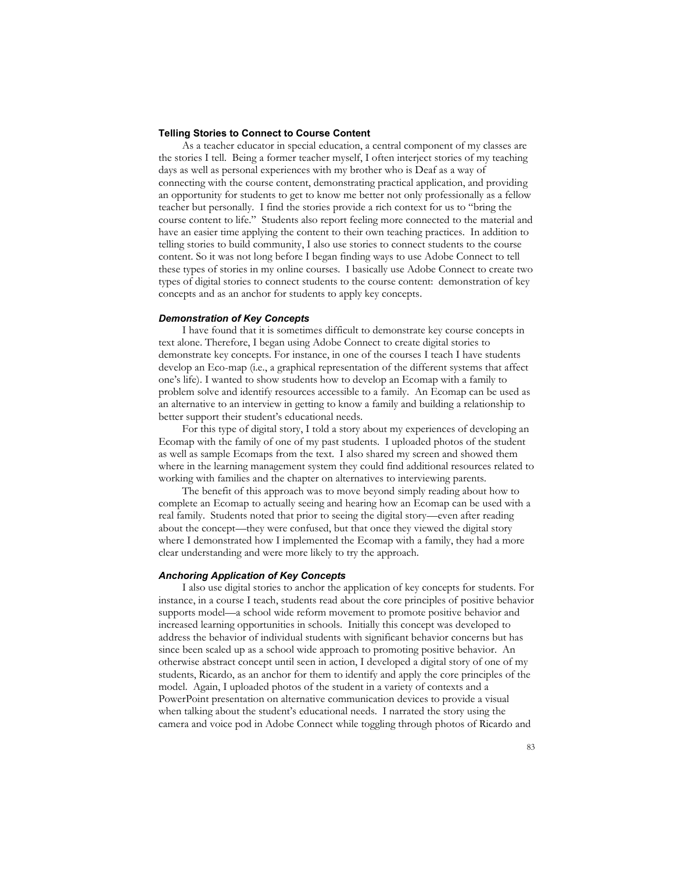### **Telling Stories to Connect to Course Content**

As a teacher educator in special education, a central component of my classes are the stories I tell. Being a former teacher myself, I often interject stories of my teaching days as well as personal experiences with my brother who is Deaf as a way of connecting with the course content, demonstrating practical application, and providing an opportunity for students to get to know me better not only professionally as a fellow teacher but personally. I find the stories provide a rich context for us to "bring the course content to life." Students also report feeling more connected to the material and have an easier time applying the content to their own teaching practices. In addition to telling stories to build community, I also use stories to connect students to the course content. So it was not long before I began finding ways to use Adobe Connect to tell these types of stories in my online courses. I basically use Adobe Connect to create two types of digital stories to connect students to the course content: demonstration of key concepts and as an anchor for students to apply key concepts.

#### *Demonstration of Key Concepts*

I have found that it is sometimes difficult to demonstrate key course concepts in text alone. Therefore, I began using Adobe Connect to create digital stories to demonstrate key concepts. For instance, in one of the courses I teach I have students develop an Eco-map (i.e., a graphical representation of the different systems that affect one's life). I wanted to show students how to develop an Ecomap with a family to problem solve and identify resources accessible to a family. An Ecomap can be used as an alternative to an interview in getting to know a family and building a relationship to better support their student's educational needs.

For this type of digital story, I told a story about my experiences of developing an Ecomap with the family of one of my past students. I uploaded photos of the student as well as sample Ecomaps from the text. I also shared my screen and showed them where in the learning management system they could find additional resources related to working with families and the chapter on alternatives to interviewing parents.

The benefit of this approach was to move beyond simply reading about how to complete an Ecomap to actually seeing and hearing how an Ecomap can be used with a real family. Students noted that prior to seeing the digital story—even after reading about the concept—they were confused, but that once they viewed the digital story where I demonstrated how I implemented the Ecomap with a family, they had a more clear understanding and were more likely to try the approach.

# *Anchoring Application of Key Concepts*

I also use digital stories to anchor the application of key concepts for students. For instance, in a course I teach, students read about the core principles of positive behavior supports model—a school wide reform movement to promote positive behavior and increased learning opportunities in schools. Initially this concept was developed to address the behavior of individual students with significant behavior concerns but has since been scaled up as a school wide approach to promoting positive behavior. An otherwise abstract concept until seen in action, I developed a digital story of one of my students, Ricardo, as an anchor for them to identify and apply the core principles of the model. Again, I uploaded photos of the student in a variety of contexts and a PowerPoint presentation on alternative communication devices to provide a visual when talking about the student's educational needs. I narrated the story using the camera and voice pod in Adobe Connect while toggling through photos of Ricardo and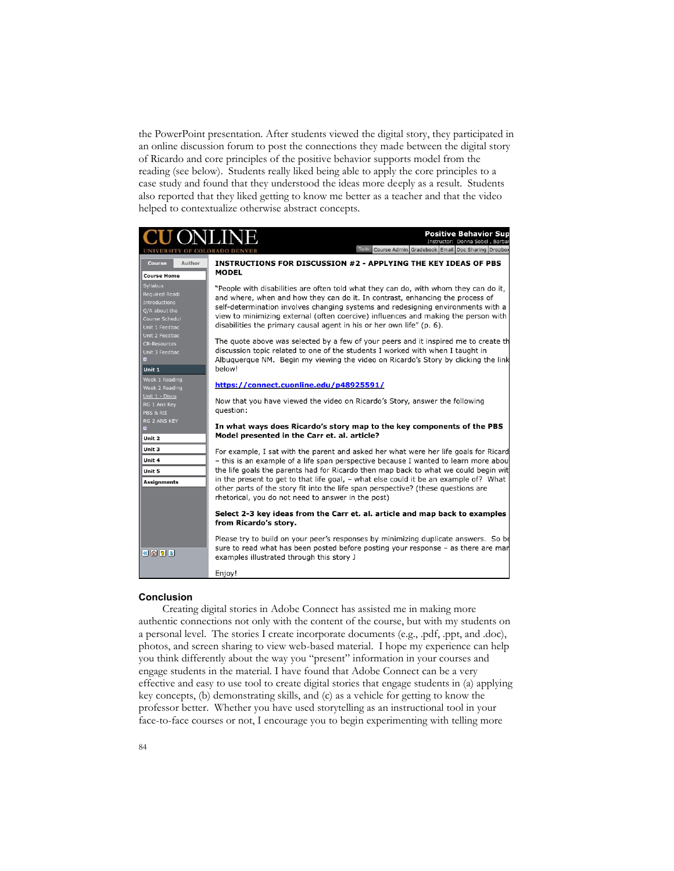the PowerPoint presentation. After students viewed the digital story, they participated in an online discussion forum to post the connections they made between the digital story of Ricardo and core principles of the positive behavior supports model from the reading (see below). Students really liked being able to apply the core principles to a case study and found that they understood the ideas more deeply as a result. Students also reported that they liked getting to know me better as a teacher and that the video helped to contextualize otherwise abstract concepts.

| JONLIN                                                                                           | <b>Positive Behavior Sup</b><br>Instructor: Donna Sobel, Barbar<br>Tools: Course Admin Gradebook Email Doc Sharing Dropbox                                                                                                                                                                                                                                                                                                                                                                             |
|--------------------------------------------------------------------------------------------------|--------------------------------------------------------------------------------------------------------------------------------------------------------------------------------------------------------------------------------------------------------------------------------------------------------------------------------------------------------------------------------------------------------------------------------------------------------------------------------------------------------|
| Author<br>Course<br><b>Course Home</b>                                                           | INSTRUCTIONS FOR DISCUSSION #2 - APPLYING THE KEY IDEAS OF PBS<br><b>MODEL</b>                                                                                                                                                                                                                                                                                                                                                                                                                         |
| Syllabus<br>Required Readi<br>Introductions<br>Q/A about the<br>Course Schedul<br>Unit 1 Feedbac | "People with disabilities are often told what they can do, with whom they can do it,<br>and where, when and how they can do it. In contrast, enhancing the process of<br>self-determination involves changing systems and redesigning environments with a<br>view to minimizing external (often coercive) influences and making the person with<br>disabilities the primary causal agent in his or her own life" (p. 6).                                                                               |
| Unit 2 Feedbac<br><b>CR-Resources</b><br>Unit 3 Feedbac<br>Unit 1                                | The quote above was selected by a few of your peers and it inspired me to create th<br>discussion topic related to one of the students I worked with when I taught in<br>Albuguergue NM. Begin my viewing the video on Ricardo's Story by clicking the link<br>below!                                                                                                                                                                                                                                  |
| Week 1 Reading<br>Week 2 Reading                                                                 | https://connect.cuonline.edu/p48925591/                                                                                                                                                                                                                                                                                                                                                                                                                                                                |
| Unit 1 - Discu<br>RG 1 Ans Key<br>PBS & RtI                                                      | Now that you have viewed the video on Ricardo's Story, answer the following<br>question:                                                                                                                                                                                                                                                                                                                                                                                                               |
| RG 2 ANS KEY<br>圖<br>Unit 2                                                                      | In what ways does Ricardo's story map to the key components of the PBS<br>Model presented in the Carr et. al. article?                                                                                                                                                                                                                                                                                                                                                                                 |
| Unit 3<br>Unit 4<br>Unit 5<br><b>Assignments</b>                                                 | For example, I sat with the parent and asked her what were her life goals for Ricard<br>- this is an example of a life span perspective because I wanted to learn more about<br>the life goals the parents had for Ricardo then map back to what we could begin wit<br>in the present to get to that life goal, - what else could it be an example of? What<br>other parts of the story fit into the life span perspective? (these questions are<br>rhetorical, you do not need to answer in the post) |
|                                                                                                  | Select 2-3 key ideas from the Carr et. al. article and map back to examples<br>from Ricardo's story.                                                                                                                                                                                                                                                                                                                                                                                                   |
| $\left  \frac{1}{2} \right  \left  \frac{1}{2} \right  \left  \frac{1}{2} \right $               | Please try to build on your peer's responses by minimizing duplicate answers. So be<br>sure to read what has been posted before posting your response - as there are man<br>examples illustrated through this story J                                                                                                                                                                                                                                                                                  |
|                                                                                                  | Enjoy!                                                                                                                                                                                                                                                                                                                                                                                                                                                                                                 |

## **Conclusion**

Creating digital stories in Adobe Connect has assisted me in making more authentic connections not only with the content of the course, but with my students on a personal level. The stories I create incorporate documents (e.g., .pdf, .ppt, and .doc), photos, and screen sharing to view web-based material. I hope my experience can help you think differently about the way you "present" information in your courses and engage students in the material. I have found that Adobe Connect can be a very effective and easy to use tool to create digital stories that engage students in (a) applying key concepts, (b) demonstrating skills, and (c) as a vehicle for getting to know the professor better. Whether you have used storytelling as an instructional tool in your face-to-face courses or not, I encourage you to begin experimenting with telling more